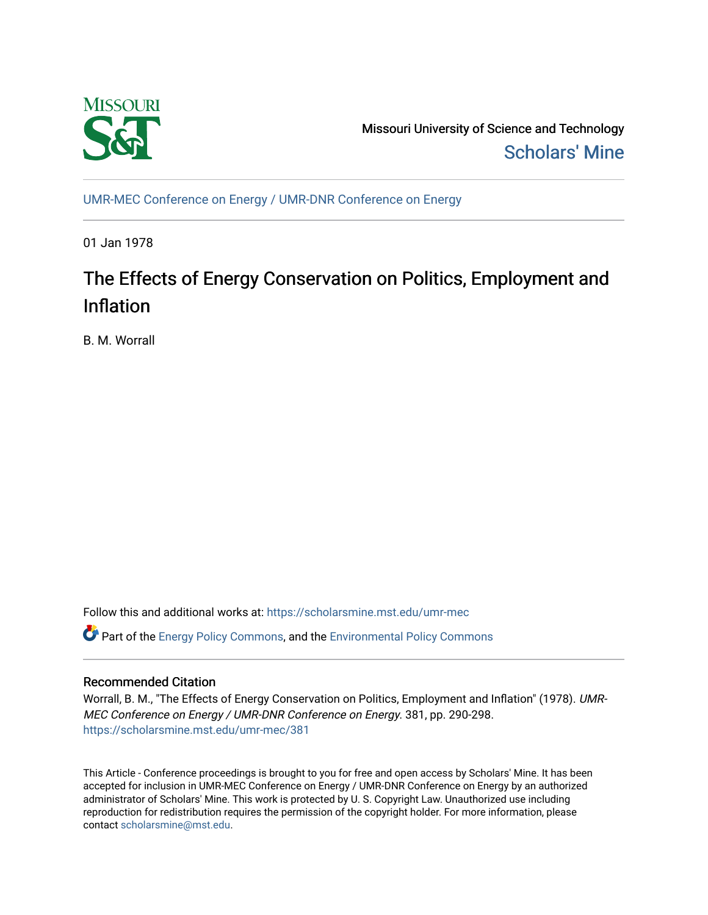

Missouri University of Science and Technology [Scholars' Mine](https://scholarsmine.mst.edu/) 

[UMR-MEC Conference on Energy / UMR-DNR Conference on Energy](https://scholarsmine.mst.edu/umr-mec)

01 Jan 1978

# The Effects of Energy Conservation on Politics, Employment and Inflation

B. M. Worrall

Follow this and additional works at: [https://scholarsmine.mst.edu/umr-mec](https://scholarsmine.mst.edu/umr-mec?utm_source=scholarsmine.mst.edu%2Fumr-mec%2F381&utm_medium=PDF&utm_campaign=PDFCoverPages) 

**C** Part of the [Energy Policy Commons](http://network.bepress.com/hgg/discipline/1065?utm_source=scholarsmine.mst.edu%2Fumr-mec%2F381&utm_medium=PDF&utm_campaign=PDFCoverPages), and the Environmental Policy Commons

## Recommended Citation

Worrall, B. M., "The Effects of Energy Conservation on Politics, Employment and Inflation" (1978). UMR-MEC Conference on Energy / UMR-DNR Conference on Energy. 381, pp. 290-298. [https://scholarsmine.mst.edu/umr-mec/381](https://scholarsmine.mst.edu/umr-mec/381?utm_source=scholarsmine.mst.edu%2Fumr-mec%2F381&utm_medium=PDF&utm_campaign=PDFCoverPages) 

This Article - Conference proceedings is brought to you for free and open access by Scholars' Mine. It has been accepted for inclusion in UMR-MEC Conference on Energy / UMR-DNR Conference on Energy by an authorized administrator of Scholars' Mine. This work is protected by U. S. Copyright Law. Unauthorized use including reproduction for redistribution requires the permission of the copyright holder. For more information, please contact [scholarsmine@mst.edu](mailto:scholarsmine@mst.edu).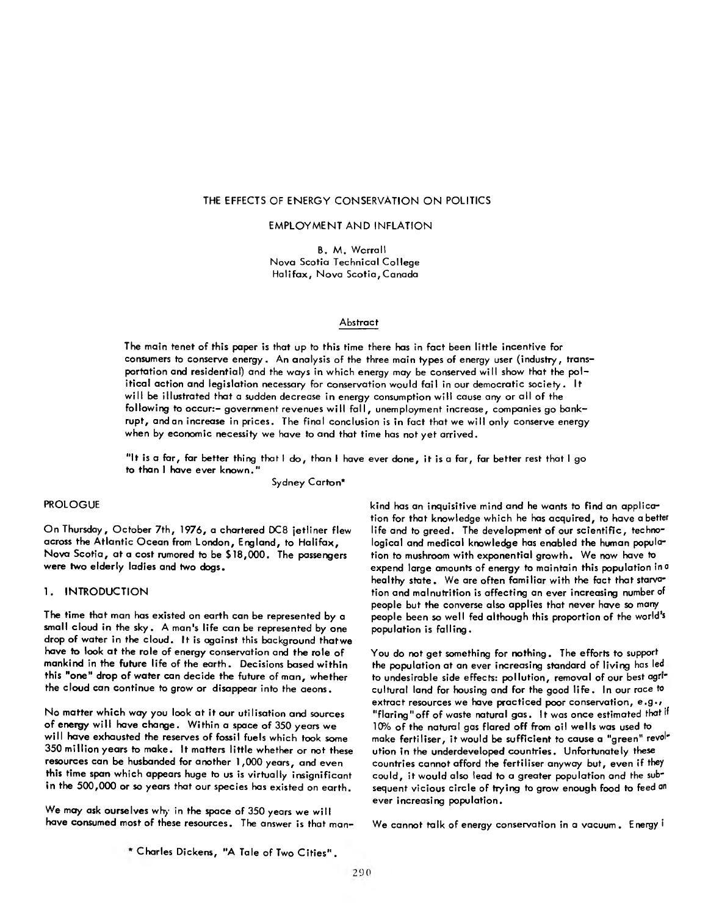## **THE EFFECTS OF ENERGY CONSERVATION ON POLITICS**

#### EMPLOYMENT AND INFLATION

B. M. Worrall Nova Scotia Technical College Halifax, Nova Scotia, Canada

## **Abstract**

The main tenet of this paper is that up to this time there has in fact been little incentive for consumers to conserve energy. An analysis of the three main types of energy user (industry, transportation and residential) and the ways in which energy may be conserved will show that the political action and legislation necessary for conservation would fail in our democratic society. It will be illustrated that a sudden decrease in energy consumption will cause any or all of the following to occur:- government revenues will fall, unemployment increase, companies go bankrupt, and an increase in prices. The final conclusion is in fact that we will only conserve energy when by economic necessity we have to and that time has not yet arrived.

"It is a far, far better thing that I do, than I have ever done, it is a far, far better rest that I go to than I have ever known.

Sydney Carton\*

## PROLOGUE

On Thursday, October 7th, 1976, a chartered DC8 jetliner flew across the Atlantic Ocean from London, England, to Halifax, Nova Scotia, at a cost rumored to be \$18,000. The passengers were two elderly ladies and two dogs.

#### 1. INTRODUCTION

The time that man has existed on earth can be represented by a small cloud in the sky. A man's life can be represented by one drop of water in the cloud. It is against this background that we have to look at the role of energy conservation and the role of mankind in the future life of the earth. Decisions based within this "one" drop of water can decide the future of man, whether the cloud can continue to grow or disappear into the aeons.

No matter which way you look at it our utilisation and sources of energy will have change. Within a space of 350 years we will have exhausted the reserves of fossil fuels which took some 350 million years to make. It matters little whether or not these resources can be husbanded for another 1,000 years, and even this time span which appears huge to us is virtually insignificant in the 500,000 or so years that our species has existed on earth.

We may ask ourselves why in the space of 350 years we will have consumed most of these resources. The answer is that mankind has an inquisitive mind and he wants to find an application for that knowledge which he has acquired, to have abetter life and to greed. The development of our scientific, technological and medical knowledge has enabled the human population to mushroom with exponential growth. We now have to expend large amounts of energy to maintain this population in a healthy state. We are often familiar with the fact that starvation and malnutrition is affecting an ever increasing number of people but the converse also applies that never have so many people been so well fed although this proportion of the world's population is falling.

You do not get something for nothing. The efforts to support the population at an ever increasing standard of living has led to undesirable side effects: pollution, removal of our best agricultural land for housing and for the good life . In our race to extract resources we have practiced poor conservation, e.g., "flaring" off of waste natural gas. It was once estimated that if 10% of the natural gas flared off from oil wells was used to make fertiliser, it would be sufficient to cause a "green" revolution in the underdeveloped countries. Unfortunately these countries cannot afford the fertiliser anyway but, even if they could, it would also lead to a greater population and the subsequent vicious circle of trying to grow enough food to feed an ever increasing population.

We cannot talk of energy conservation in a vacuum . Energy i

Charles Dickens, "A Tale of Two C ities" .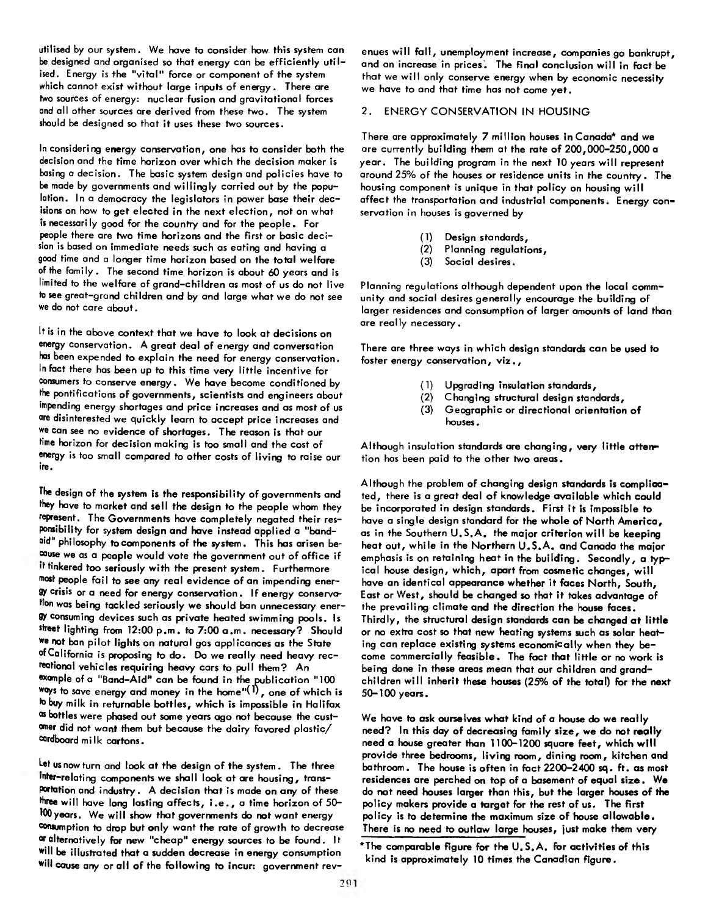utilised by our system. We have to consider how. this system can be designed and organised so that energy can be efficiently utilised. Energy is the "vital" force or component of the system which cannot exist without large inputs of energy. There are two sources of energy: nuclear fusion and gravitational forces and all other sources are derived from these two. The system should be designed so that it uses these two sources.

In considering energy conservation, one has to consider both the decision and the time horizon over which the decision maker is basing a decision. The basic system design and policies have to be made by governments and w illingly carried out by the population. In a democracy the legislators in power base their decisions on how to get elected in the next election, not on what is necessari ly good for the country and for the people. For people there are two time horizons and the first or basic decision is based on immediate needs such as eating and having a good time and a longer time horizon based on the total welfare of the family . The second time horizon is about 60 years and is limited to the welfare of grand-children as most of us do not live to see great-grand children and by and large what we do not see we do not care about.

It is in the above context that we have to look at decisions on energy conservation. A great deal of energy and conversation has been expended to explain the need for energy conservation. In fact there has been up to this time very little incentive for consumers to conserve energy. We have become conditioned by the pontifications of governments, scientists and engineers about impending energy shortages and price increases and as most of us are disinterested we quickly learn to accept price increases and we can see no evidence of shortages. The reason is that our time horizon for decision making is too small and the cost of energy is too small compared to other costs of living to raise our ire.

The design of the system is the responsibility of governments and they have to market and sell the design to the people whom they represent. The Governments have completely negated their responsibility for system design and have instead applied a "band aid" philosophy to components of the system. This has arisen because we as a people would vote the government out of office if it tinkered too seriously with the present system. Furthermore most people fail to see any real evidence of an impending energy crisis or a need for energy conservation. If energy conservation was being tackled seriously we should ban unnecessary energy consuming devices such as private heated swimming pools. Is street lighting from 12:00 p.m. to 7:00 a.m. necessary? Should we not ban pilot lights on natural gas applicances as the State ofCalifornia is proposing to do. Do we really need heavy recreational vehicles requiring heavy cars to pull them? An example of a "Band-Aid" can be found in the publication "100 ways to save energy and money in the home"(T), one of which is to buy milk in returnable bottles, which is impossible in Halifax os bottles were phased out some years ago not because the customer did not want them but because the dairy favored plastic/ cardboard mi Ik cartons.

Let us now turn and look at the design of the system . The three inter-relating components we shall look at are housing, transportation and industry. A decision that is made on any of these three will have long lasting affects, i . e . , a time horizon of 50- 100 years. We will show that governments do not want energy consumption to drop but only want the rate of growth to decrease °ralternatively for new "cheap" energy sources to be found. It will be illustrated that a sudden decrease in energy consumption will cause any or all of the following to incur: government revenues will fall, unemployment increase, companies go bankrupt, and an increase in prices. The final conclusion will in fact be that we will only conserve energy when by economic necessity we have to and that time has not come yet.

## 2. ENERGY CONSERVATION IN HOUSING

There are approximately 7 million houses in Canada\* and we are currently building them at the rate of 200,000-250,000 a year. The building program in the next 10 years will represent around 25% of the houses or residence units in the country. The housing component is unique in that policy on housing will affect the transportation and industrial components. Energy conservation in houses is governed by

- (1) Design standards,
- Planning regulations,
- (3) Social desires.

Planning regulations although dependent upon the local community and social desires generally encourage the building of larger residences and consumption of larger amounts of land than are really necessary.

There are three ways in which design standards can be used to foster energy conservation, viz.,

- (1) Upgrading insulation standards,
- (2) Changing structural design standards,
- (3) Geographic or directional orientation of houses.

Although insulation standards are changing, very little attention has been paid to the other two areas.

Although the problem of changing design standards is complicated, there is a great deal of knowledge available which could be incorporated in design standards. First it is impossible to have a single design standard for the whole of North America, as in the Southern U.S.A. the major criterion will be keeping heat out, while in the Northern U.S.A. and Canada the major emphasis is on retaining heat in the building. Secondly, a typical house design, which, apart from cosmetic changes, will have an identical appearance whether it faces North, South, East or West, should be changed so that it takes advantage of the prevailing climate and the direction the house faces. Thirdly, the structural design standards can be changed at little or no extra cost so that new heating systems such as solar heating can replace existing systems economically when they become commercially feasible. The fact that little or no work is being done in these areas mean that our children and grandchildren will inherit these houses (25% of the total) for the next 50-100 years.

We have to ask ourselves what kind of a house do we really need? In this day of decreasing family size , we do not really need a house greater than 1100-1200 square feet, which w ill provide three bedrooms, living room, dining room, kitchen and bathroom. The house is often in fact 2200-2400 sq. ft. as most residences are perched on top of a basement of equal size . We do not need houses larger than this, but the larger houses of the policy makers provide a target for the rest of us. The first policy is to determine the maximum size of house allowable. There is no need to outlaw large houses, just make them very

<sup>\*</sup>The comparable figure for the U.S.A. for activities of this kind is approximately 10 times the Canadian figure.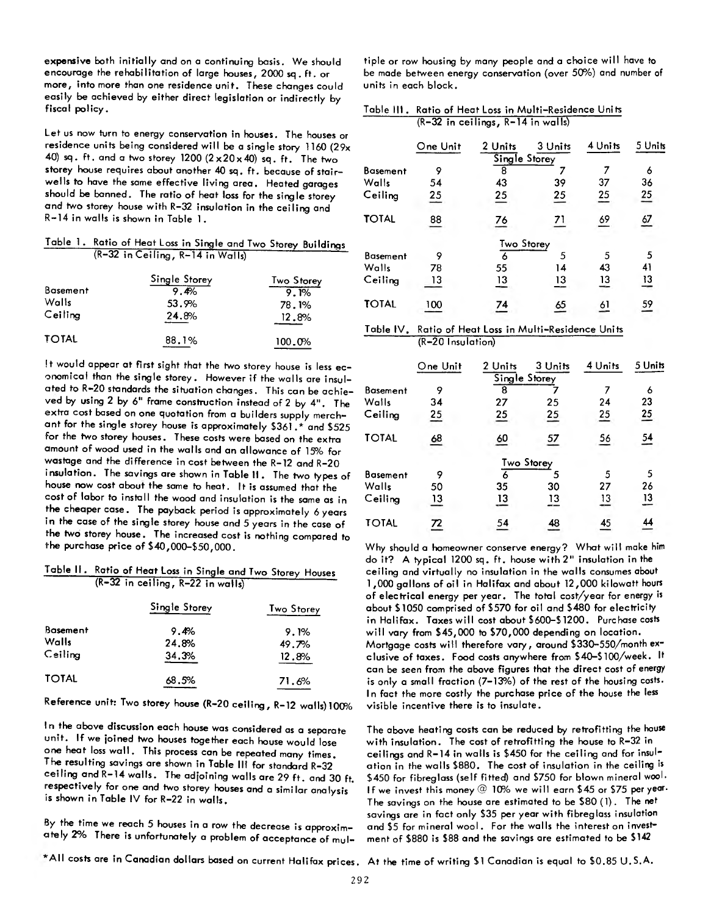expensive both initially and on a continuing basis. We should encourage the rehabilitation of large houses, 2000 sq . ft. or more, into more than one residence unit. These changes could easily be achieved by either direct legislation or indirectly by fiscal policy.

Let us now turn to energy conservation in houses. The houses or residence units being considered will be a single story 1160 (29x 40) sq. ft. and a two storey  $1200 (2 \times 20 \times 40)$  sq. ft. The two storey house requires about another 40 sq. ft. because of stairwells to have the same effective living area. Heated garages should be banned. The ratio of heat loss for the single storey and two storey house with R-32 insulation in the ceiling and R-14 in walls is shown in Table 1.

Table 1. Ratio of Heat Loss in Single and Two Storey Buildings (R-32 in Ceiling, R-14 in WalIs)

|                 | Single Storey | <b>Two Storey</b> |
|-----------------|---------------|-------------------|
| <b>Basement</b> | 9.4%          | 9.1%              |
| Walls           | 53.9%         | 78.1%             |
| Ceiling         | 24.8%         | 12.8%             |
| <b>TOTAL</b>    | 88.1%         | 100.0%            |

It would appear at first sight that the two storey house is less economical than the single storey. However if the walls are insulated to R-20 standards the situation changes. This can be achieved by using 2 by 6" frame construction instead of 2 by 4". The extra cost based on one quotation from a builders supply merchant for the single storey house is approximately \$361 .\* and \$525 for the two storey houses. These costs were based on the extra amount of wood used in the walls and an allowance of 15% for wastage and the difference in cost between the R-12 and R-20 insulation. The savings are shown in Table II . The two types of house now cost about the same to heat. It is assumed that the cost of labor to install the wood and insulation is the same as in the cheaper case. The payback period is approximately 6 years in the case of the single storey house and 5 years in the case of the two storey house. The increased cost is nothing compared to the purchase price of \$40,000-\$50,000.

Table II. Ratio of Heat Loss in Single and Two Storey Houses  $(R-32$  in ceiling,  $R-22$  in walls)

|                 | Single Storey | Two Storey |  |
|-----------------|---------------|------------|--|
| <b>Basement</b> | 9.4%          | 9.1%       |  |
| Walls           | 24.8%         | 49.7%      |  |
| Ceiling         | 34.3%         | 12.8%      |  |
| <b>TOTAL</b>    | 68.5%         | 71.6%      |  |

Reference unit: Two storey house (R-20 ceiling , R-12 walls) 100%

In the above discussion each house was considered as a separate unit. If we joined two houses together each house would lose one heat loss wall. This process can be repeated many times. The resulting savings are shown in Table III for standard R-32 ceiling and R-14 walls. The adjoining walls are 29 ft. and 30 ft. respectively for one and two storey houses and a similar analysis \* is shown in Table IV for R-22 in walls.

By the time we reach 5 houses in a row the decrease is approximately 2% There is unfortunately a problem of acceptance of multiple or row housing by many people and a choice will have to be made between energy conservation (over 50%) and number of units in each block.

| Table III. Ratio of Heat Loss in Multi-Residence Units |
|--------------------------------------------------------|
| $(R-32$ in ceilings, $R-14$ in walls)                  |

|                 | One Unit        | 2 Units                  | 3 Units         | 4 Units | 5 Units         |
|-----------------|-----------------|--------------------------|-----------------|---------|-----------------|
|                 |                 | Single Storey            |                 |         |                 |
| <b>Basement</b> | 9               | 8                        |                 |         | 6               |
| Walls           | 54              | 43                       | 39              | 37      | 36              |
| Ceiling         | $\overline{25}$ | $\overline{25}$          | $\overline{25}$ | 25      | $\overline{25}$ |
| TOTAL           | 88              | $\overline{\mathbf{26}}$ |                 | 69      | $\frac{67}{1}$  |
|                 |                 | <b>Two Storey</b>        |                 |         |                 |
| <b>Basement</b> | 9               | 6                        | 5               | 5       | 5               |
| Walls           | 78              | 55                       | 14              | 43      | 41              |
| Ceiling         | 13              | $\frac{13}{1}$           | $\overline{13}$ | 13      | $\frac{13}{2}$  |
| <b>TOTAL</b>    | 100             | $\overline{24}$          | <u>რ</u>        | 61      | 59              |
|                 |                 |                          |                 |         |                 |

## Table IV. Ratio of Heat Loss in Multi-Residence Units (R-20 Insu lation)

|                 | One Unit         | 2 Units          | 3 Units         | 4 Units         | 5 Units         |
|-----------------|------------------|------------------|-----------------|-----------------|-----------------|
|                 |                  | Single Storey    |                 |                 |                 |
| <b>Basement</b> | 9                | 8                |                 |                 | 6               |
| Walls           | 34               | 27               | 25              | 24              | 23              |
| Ceiling         | $\overline{25}$  | $\overline{25}$  | $\frac{25}{1}$  | $\overline{25}$ | $\overline{25}$ |
| <b>TOTAL</b>    | $\underline{68}$ | $\underline{60}$ | $\overline{57}$ | $\frac{56}{1}$  | $\frac{54}{1}$  |
|                 |                  |                  | Two Storey      |                 |                 |
| <b>Basement</b> | 9                | 6                |                 | 5               | 5               |
| Walls           | 50               | 35               | 30              | 27              | 26              |
| Ceiling         | $\overline{13}$  | $\overline{13}$  | 13              | $\frac{13}{1}$  | $\overline{13}$ |
| <b>TOTAL</b>    | $\overline{r}$   | 54               | 48              | 45              | $\overline{44}$ |

Why should a homeowner conserve energy? What will make him do it? A typical 1200 sq. ft. house with *2 "* insulation in the ceiling and virtually no insulation in the walls consumes about 1,000 gallons of oil in Halifax and about 12,000 kilowatt hours of electrical energy per year. The total cost/year for energy is about \$1050 comprised of \$570 for oil and \$480 for electricity in Halifax. Taxes will cost about \$600-\$1200. Purchase costs will vary from \$45,000 to \$70,000 depending on location. Mortgage costs will therefore vary, around \$330-550/month exclusive of taxes. Food costs anywhere from \$40-\$ 100/week. It can be seen from the above figures that the direct cost of energy is only a small fraction (7-13%) of the rest of the housing costs. In fact the more costly the purchase price of the house the less visible incentive there is to insulate.

The above heating costs can be reduced by retrofitting the house with insulation. The cost of retrofitting the house to R-32 in ceilings and R-14 in walls is \$450 for the ceiling and for insulation in the walls \$880. The cost of insulation in the ceiling is \$450 for fibreglass (self fitted) and \$750 for blown mineral wool. If we invest this money @ 10% we will earn \$45 or \$75 per year. The savings on the house are estimated to be \$80 (1). The net savings are in fact only \$35 per year with fibreglass insulation and \$5 for mineral wool. For the walls the interest on investment of \$880 is \$88 and the savings are estimated to be \$142

 $*$  All costs are in Canadian dollars based on current Halifax prices. At the time of writing \$1 Canadian is equal to \$0.85 U.S.A.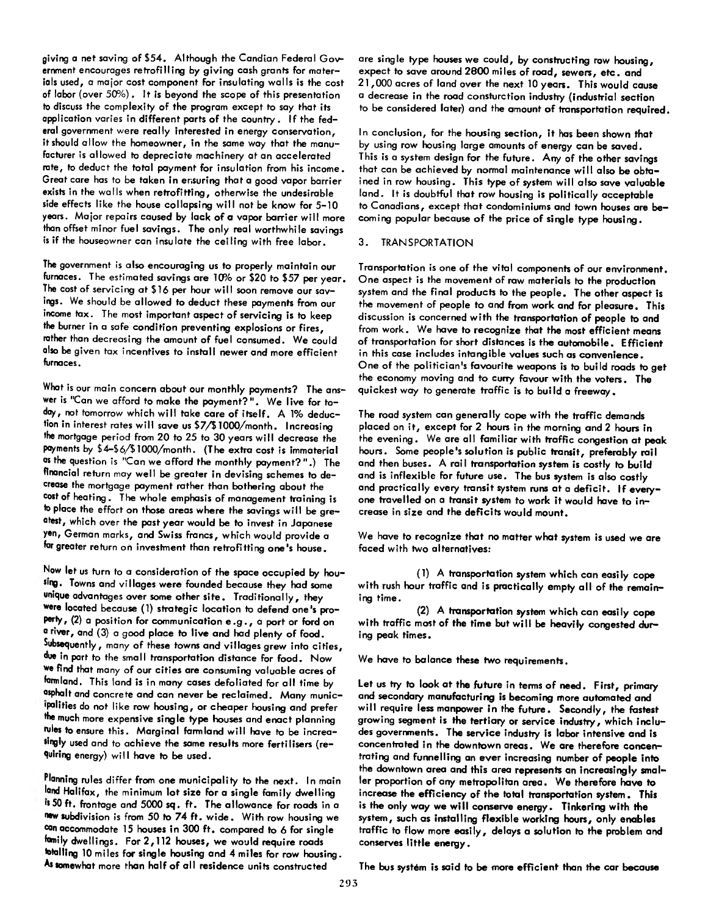giving a net saving of \$54. Although the Candian Federal Government encourages retrofilling by giving cash grants for materials used, a major cost component for insulating walls is the cost of labor (over 50%). It is beyond the scope of this presentation to discuss the complexity of the program except to say that its application varies in different parts of the country. If the federal government were really interested in energy conservation, it should allow the homeowner, in the same way that the manufacturer is allowed to depreciate machinery at an accelerated rate, to deduct the total payment for insulation from his income. Great care has to be taken in ensuring that a good vapor barrier exists in the walls when retrofitting, otherwise the undesirable side effects like the house collapsing will not be know for 5-10 years. Major repairs caused by lack of a vapor barrier w ill more than offset minor fuel savings. The only real worthwhile savings is if the houseowner can insulate the ceiling with free labor.

The government is also encouraging us to properly maintain our furnaces. The estimated savings are 10% or \$20 to \$57 per year. The cost of servicing at \$16 per hour will soon remove our savings. We should be allowed to deduct these payments from our income tax. The most important aspect of servicing is to keep the burner in a safe condition preventing explosions or fires, rather than decreasing the amount of fuel consumed. We could also be given tax incentives to install newer and more efficient furnaces.

What is our main concern about our monthly payments? The answer is "Can we afford to make the payment?". We live for today, not tomorrow which will take care of itself. A 1% deduction in interest rates w ill save us \$7/\$1000/month. Increasing the mortgage period from 20 to 25 to 30 years w ill decrease the payments by \$4-\$6/\$ 1000/month. (The extra cost is immaterial as the question is "Can we afford the monthly payment?".) The financial return may well be greater in devising schemes to decrease the mortgage payment rather than bothering about the cost of heating . The whole emphasis of management training is to place the effort on those areas where the savings will be greatest, which over the past year would be to invest in Japanese yen, German marks, and Swiss francs, which would provide a far greater return on investment than retrofitting one's house.

Now let us turn to a consideration of the space occupied by hou sing. Towns and villages were founded because they had some unique advantages over some other site. Traditionally, they were located because (1) strategic location to defend one's property, (2) a position for communication e.g., a port or ford on a river, and (3) a good place to live and had plenty of food. Subsequently, many of these towns and villages grew into cities, due in part to the small transportation distance for food. Now we find that many of our cities are consuming valuable acres of farmland. This land is in many cases defoliated for all time by osphalt and concrete and can never be reclaimed. Many municipalities do not like row housing, or cheaper housing and prefer ffie much more expensive single type houses and enact planning rules to ensure this. Marginal farmland w ill have to be increalingly used and to achieve the same results more fertilisers (requiring energy) will have to be used.

Planning rules differ from one municipality to the next. In main land Halifax, the minimum lot size for a single family dwelling is 50 ft. frontage and 5000 sq. ft. The allowance for roads in a new subdivision is from 50 to 74 ft. wide. With row housing we ®an accommodate 15 houses in 300 ft. compared to 6 for single family dwellings. For 2,112 houses, we would require roads Walling 10 miles for single housing and 4 miles for row housing. Assomewhat more than half of all residence units constructed

are single type houses we could, by constructing row housing, expect to save around 2800 miles of road, sewers, etc. and 21,000 acres of land over the next 10 years. This would cause a decrease in the road consturction industry (industrial section to be considered later) and the amount of transportation required.

In conclusion, for the housing section, it has been shown that by using row housing large amounts of energy can be saved. This is a system design for the future. Any of the other savings that can be achieved by normal maintenance will also be obtained in row housing. This type of system will also save valuable land. It is doubtful that row housing is politically acceptable to Canadians, except that condominiums and town houses are becoming popular because of the price of single type housing.

## 3. TRANSPORTATION

Transportation is one of the vital components of our environment. One aspect is the movement of raw materials to the production system and the final products to the people. The other aspect is the movement of people to and from work and for pleasure. This discussion is concerned with the transportation of people to and from work. We have to recognize that the most efficient means of transportation for short distances is the automobile. Efficient in this case includes intangible values such as convenience. One of the politician's favourite weapons is to build roads to get the economy moving and to curry favour with the voters. The quickest way to generate traffic is to build a freeway.

The road system can generally cope with the traffic demands placed on it, except for 2 hours in the morning and 2 hours in the evening. We are all familiar with traffic congestion at peak hours. Some people's solution is public transit, preferably rail and then buses. A rail transportation system is costly to build and is inflexible for future use. The bus system is also costly and practically every transit system runs at a deficit. If everyone travelled on a transit system to work it would have to increase in size and the deficits would mount.

We have to recognize that no matter what system is used we are faced with two alternatives:

(1) A transportation system which can easily cope with rush hour traffic and is practically empty all of the remaining time.

(2) A transportation system which can easily cope with traffic most of the time but will be heavily congested during peak times.

We have to balance these two requirements.

Let us try to look at the future in terms of need. First, primary and secondary manufacturing is becoming more automated and will require less manpower in the future. Secondly, the fastest growing segment is the tertiary or service industry, which includes governments. The service industry is labor intensive and is concentrated in the downtown areas. We are therefore concentrating and funnelling an ever increasing number of people into the downtown area and this area represents an increasingly smaller proportion of any metropolitan area. We therefore have to increase the efficiency of the total transportation system. This is the only way we will conserve energy. Tinkering with the system, such as installing flexible working hours, only enables traffic to flow more easily, delays a solution to the problem and conserves little energy.

The bus system is said to be more efficient than the car because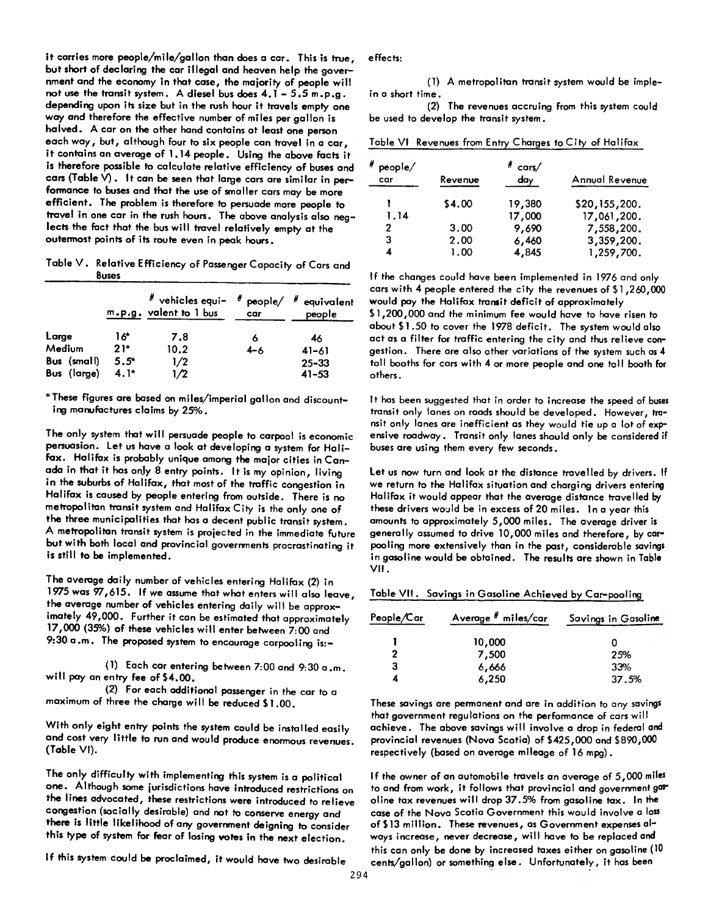it carries more people/mile/gallon than does a car. This is true, effects: but short of declaring the car illegal and heaven help the government and the economy in that case, the majority of people will not use the transit system. A diesel bus does  $4.1 - 5.5$  m.p.g. depending upon its size but in the rush hour it travels empty one way and therefore the effective number of miles per gallon is halved. A car on the other hand contains at least one person each way, but, although four to six people can travel in a car, it contains an average of 1.14 people. Using the above facts it is therefore possible to calculate relative efficiency of buses and cars (Table V) . It can be seen that large cars are similar in performance to buses and that the use of smaller cars may be more efficient. The problem is therefore to persuade more people to travel in one car in the rush hours. The above analysis also neglects the fact that the bus will travel relatively empty at the outermost points of its route even in peak hours.

Table V . Relative Efficiency of Passenger Capacity of Cars and Buses

|             |         | $#$ vehicles equi- $#$ people/ $#$<br>m.p.g. valent to 1 bus | car     | equivalent<br>people |
|-------------|---------|--------------------------------------------------------------|---------|----------------------|
| Large       | 16*     | 7.8                                                          | 6       | 46                   |
| Medium      | $21*$   | 10.2                                                         | $4 - 6$ | $41 - 61$            |
| Bus (small) | $5.5^*$ | 1/2                                                          |         | $25 - 33$            |
| Bus (large) | $4.1*$  | 1/2                                                          |         | $41 - 53$            |

\*These figures are based on miles/imperial gallon and discounting manufactures claims by 25% .

The only system that will persuade people to carpool is economic persuasion. Let us have a look at developing a system for Halifax. Halifax is probably unique among the major cities in Canada in that it has onjy 8 entry points. It is my opinion, living in the suburbs of Halifax, that most of the traffic congestion in Halifax is caused by people entering from outside. There is no metropolitan transit system and Halifax City is the only one of the three municipalities that has a decent public transit system. A metropolitan transit system is projected in the immediate future but with both local and provincial governments procrastinating it is still to be implemented.

The average daily number of vehicles entering Halifax (2) in 1975 was 97,615. If we assume that what enters will also leave, the average number of vehicles entering daily will be approximately 49,000. Further it can be estimated that approximately 17,000 (35%) of these vehicles w ill enter between 7:00 and 9:30 a .m . The proposed system to encourage carpooling is:-

(1) Each car entering between 7:00 and 9:30 a .m . will pay an entry fee of \$4.00.

(2) For each additional passenger in the car to a maximum of three the charge will be reduced \$1.00.

With only eight entry points the system could be installed easily and cost very little to run and would produce enormous revenues. (Table VI).

The only difficulty with implementing this system is a political one. Although some jurisdictions have introduced restrictions on the lines advocated, these restrictions were introduced to relieve congestion (socially desirable) and not to conserve energy and there is little likelihood of any government deigning to consider this type of system for fear of losing votes in the next election.

If this system could be proclaimed, it would have two desirable

(1) A metropolitan transit system would be implein a short time.

(2) The revenues accruing from this system could be used to develop the transit system.

Table VI Revenues from Entry Charges to City of Halifax

| people/ |         | $# \text{ cars} /$ |                |
|---------|---------|--------------------|----------------|
| car     | Revenue | day                | Annual Revenue |
|         | \$4.00  | 19,380             | \$20,155,200.  |
| 1.14    |         | 17,000             | 17,061,200.    |
| 2       | 3.00    | 9,690              | 7,558,200.     |
| 3       | 2.00    | 6,460              | 3,359,200.     |
| 4       | 1.00    | 4,845              | 1,259,700.     |

If the changes could have been implemented in 1976 and only cars with 4 people entered the city the revenues of \$1,260,000 would pay the Halifax transit deficit of approximately \$1,200,000 and the minimum fee would have to have risen to about \$1.50 to cover the 1978 deficit. The system would also act as a filter for traffic entering the city and thus relieve congestion. There are also other variations of the system such as 4 toll booths for cars with 4 or more people and one toll booth for others.

It has been suggested that in order to increase the speed of buses transit only lanes on roads should be developed. However, transit only lanes are inefficient as they would tie up a lot of expensive roadway. Transit only lanes should only be considered if buses are using them every few seconds.

Let us now turn and look at the distance travelled by drivers. If we return to the Halifax situation and charging drivers entering Halifax it would appear that the average distance travelled by these drivers would be in excess of 20 miles. In a year this amounts to approximately 5,000 miles. The average driver is generally assumed to drive 10,000 miles and therefore, by carpooling more extensively than in the past, considerable savings in gasoline would be obtained. The results are shown in Table V II.

Table VII. Savings in Gasoline Achieved by Car-pooling

| People/Car | Average # miles/car | Savings in Gasoline |  |
|------------|---------------------|---------------------|--|
|            | 10,000              |                     |  |
| 2          | 7,500               | 25%                 |  |
| 3          | 6,666               | 33%                 |  |
| 4          | 6,250               | 37.5%               |  |

These savings are permanent and are in addition to any savings that government regulations on the performance of cars will achieve. The above savings w ill involve a drop in federal and provincial revenues (Nova Scotia) of \$425,000 and \$890,000 respectively (based on average mileage of 16 mpg).

If the owner of an automobile travels an average of 5,000 miles to and from work, it follows that provincial and government gas oline tax revenues will drop 37.5% from gasoline tax. In the case of the Nova Scotia Government this would involve a loss of \$13 million. These revenues, as Government expenses always increase, never decrease, w ill have to be replaced and this can only be done by increased taxes either on gasoline (10 cents/gallon) or something else. Unfortunately, it has been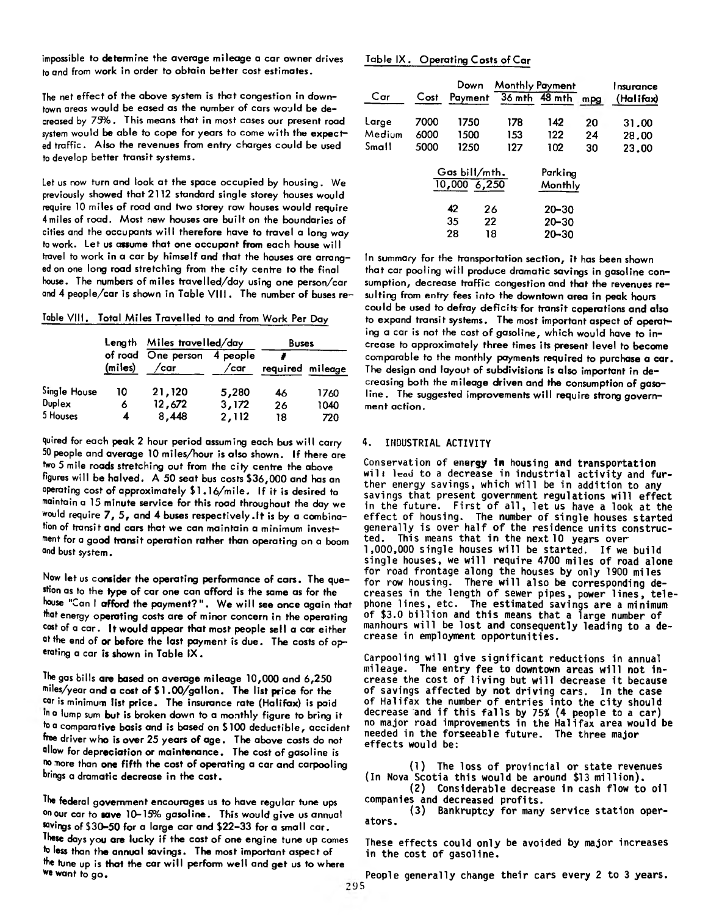impossible to determine the average mileage a car owner drives to and from work in order to obtain better cost estimates.

The net effect of the above system is that congestion in downtown areas would be eased as the number of cars would be decreased by 73% . This means that in most cases our present road system would be able to cope for years to come with the expected traffic. Also the revenues from entry charges could be used to develop better transit systems.

Let us now turn and look at the space occupied by housing. We previously showed that 2112 standard single storey houses would require 10 miles of road and two storey row houses would require 4 miles of road. Most new houses are built on the boundaries of cities and the occupants will therefore have to travel a long way to work. Let us assume that one occupant from each house will travel to work in a car by himself and that the houses are arranged on one long road stretching from the city centre to the final house. The numbers of miles travelled/day using one person/car and 4 people/car is shown in Table VIII. The number of buses re-

Table VIII. Total Miles Travelled to and from Work Per Day

|              |         | Length Miles travelled/day |                  | <b>Buses</b>     |      |
|--------------|---------|----------------------------|------------------|------------------|------|
|              | (miles) | of road One person<br>/саг | 4 people<br>/car | required mileage |      |
| Single House | 10      | 21,120                     | 5,280            | 46               | 1760 |
| Duplex       | 6       | 12,672                     | 3,172            | 26               | 1040 |
| 5 Houses     | 4       | 8,448                      | 2,112            | 18               | 720  |

quired for each peak 2 hour period assuming each bus will carry 50 people and average 10 miles/hour is also shown. If there are fwo 5 mile roads stretching out from the city centre the above figures will be halved. A 50 seat bus costs \$36,000 and has an operating cost of approximately \$1.16/mile. If it is desired to maintain a 15 minute service for this road throughout the day we would require 7 , 5 , and 4 buses respectively.lt is by a combination of transit and cars that we can maintain a minimum investment for a good transit operation rather than operating on a boom and bust system.

Now let us consider the operating performance of cars. The question as to the type of car one can afford is the same as for the house "Can I afford the payment?". We will see once again that that energy operating costs are of minor concern in the operating cost of a car. It would appear that most people sell a car either at the end of or before the last payment is due. The costs of operating a car is shown in Table IX .

The gas bills are based on average mileage 10,000 and 6,250 miles/year and a cost of \$ 1 .00/gallon. The list price for the car is minimum list price. The insurance rate (Halifax) is paid in a lump sum but is broken down to a monthly figure to bring it to a comparative basis and is based on \$100 deductible, accident free driver who is over 25 years of age. The above costs do not allow for depreciation or maintenance. The cost of gasoline is no more than one fifth the cost of operating a car and carpooling brings a dramatic decrease in the cost.

The federal government encourages us to have regular tune ups on our car to save 10-15% gasoline. This would give us annual \*ovings of \$30-50 for a large car and \$22-33 for a small car. These days you are lucky if the cost of one engine tune up comes to less than the annual savings. The most important aspect of the tune up is that the car will perform well and get us to where we want to go.

## Table IX . Operating Costs of Car

| Car    | Cost | Down<br>Payment                            | Monthly Payment | 36 mth 48 mth      | mpg | Insurance<br>(Halifax) |
|--------|------|--------------------------------------------|-----------------|--------------------|-----|------------------------|
|        |      |                                            |                 |                    |     |                        |
| Large  | 7000 | 1750                                       | 178             | 142                | 20  | 31.00                  |
| Medium | 6000 | 1500                                       | 153             | 122                | 24  | 28.00                  |
| Small  | 5000 | 1250                                       | 127             | 102                | 30  | 23.00                  |
|        |      | Gas bill/mth.<br>$\overline{10,000}$ 6,250 |                 | Parkina<br>Monthly |     |                        |
|        |      | 42<br>26                                   |                 | $20 - 30$          |     |                        |
|        |      | 35<br>22                                   |                 | $20 - 30$          |     |                        |
|        |      | 28<br>18                                   |                 | $20 - 30$          |     |                        |

In summary for the transportation section, it has been shown that car pooling will produce dramatic savings in gasoline consumption, decrease traffic congestion and that the revenues resulting from entry fees into the downtown area in peak hours could be used to defray deficits for transit coperations and also to expand transit systems. The most important aspect of operating a car is not the cost of gasoline, which would have to increase to approximately three times its present level to become comparable to the monthly payments required to purchase a car. The design and layout of subdivisions is also important in decreasing both the mileage driven and the consumption of gasoline. The suggested improvements will require strong government action.

## 4. INDUSTRIAL ACTIVITY

Conservation of energy **1n** housing and transportation will lead to a decrease in industrial activity and further energy savings, which will be in addition to any savings that present government regulations will effect in the future. First of all, let us have a look at the effect of housing. The number of single houses started generally is over half of the residence units constructed. This means that in the next 10 years over 1,000,000 single houses will be started. If we build single houses, we will require 4700 miles of road alone for road frontage along the houses by only 1900 miles for row housing. There will also be corresponding decreases in the length of sewer pipes, power lines, telephone lines, etc. The estimated savings are a minimum of \$3.0 billion and this means that a large number of manhours will be lost and consequently leading to a decrease in employment opportunities.

Carpooling will give significant reductions in annual mileage. The entry fee to downtown areas will not increase the cost of living but will decrease it because of savings affected by not driving cars. In the case of Halifax the number of entries into the city should decrease and if this falls by 75% (4 people to a car) no major road improvements in the Halifax area would be needed in the forseeable future. The three major effects would be:

(1) The loss of provincial or state revenues (In Nova Scotia this would be around \$13 million).

(2) Considerable decrease in cash flow to oil companies and decreased profits.

(3) Bankruptcy for many service station operators.

These effects could only be avoided by major increases in the cost of gasoline.

People generally change their cars every 2 to 3 years.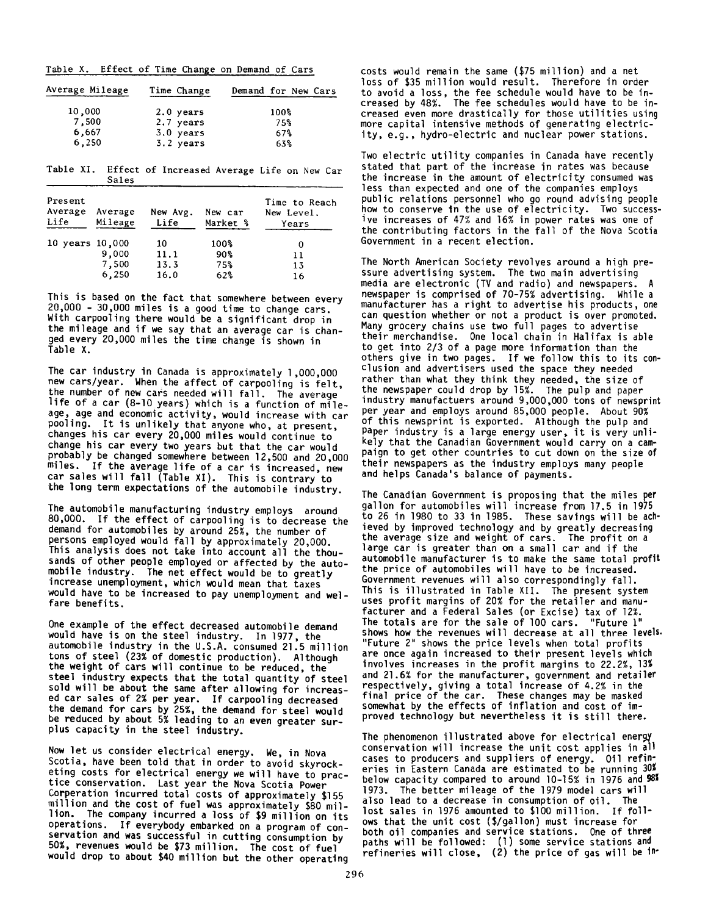Table X. Effect of Time Change on Demand of Cars

| Average Mileage | Time Change | Demand for New Cars |
|-----------------|-------------|---------------------|
| 10,000          | $2.0$ years | $100\%$             |
| 7,500           | 2.7 years   | 75%                 |
| 6,667           | $3.0$ years | 67%                 |
| 6,250           | $3.2$ years | 63%                 |

Table XI. Effect of Increased Average Life on New Car Sales

| Present<br>Average<br>Life | Average<br>Mileage      | New Avg.<br>Life           | New car<br>Market %          | Time to Reach<br>New Level.<br>Years |
|----------------------------|-------------------------|----------------------------|------------------------------|--------------------------------------|
| 10 years 10,000            | 9,000<br>7,500<br>6,250 | 10<br>11.1<br>13.3<br>16.0 | $100\%$<br>90%<br>75%<br>62% | 0<br>11<br>13<br>16                  |

This is based on the fact that somewhere between every 20,000 - 30,000 miles is a good time to change cars. With carpooling there would be a significant drop in the mileage and if we say that an average car is changed every 20,000 miles the time change is shown in Table X.

The car industry in Canada is approximately 1,000,000 new cars/year. When the affect of carpooling is felt, the number of new cars needed will fall. The average life of a car (8-10 years) which is a function of mileage, age and economic activity, would increase with car pooling. It is unlikely that anyone who, at present, changes his car every 20,000 miles would continue to change his car every two years but that the car would probably be changed somewhere between 12,500 and 20,000 miles. If the average life of a car is increased, new car sales will fall (Table XI). This is contrary to the long term expectations of the automobile industry.

The automobile manufacturing industry employs around 80,000. If the effect of carpooling is to decrease the demand for automobiles by around 25%, the number of persons employed would fall by approximately 20,000. This analysis does not take into account all the thousands of other people employed or affected by the automobile industry. The net effect would be to greatly increase unemployment, which would mean that taxes would have to be increased to pay unemployment and welfare benefits.

One example of the effect decreased automobile demand would have is on the steel industry. In 1977, the automobile industry in the U.S.A. consumed 21.5 million tons of steel (23% of domestic production). Although the weight of cars will continue to be reduced, the steel industry expects that the total quantity of steel sold will be about the same after allowing for increased car sales of 2% per year. If carpooling decreased the demand for cars by 25%, the demand for steel would be reduced by about 5% leading to an even greater surplus capacity in the steel industry.

Now let us consider electrical energy. We, in Nova Scotia, have been told that in order to avoid skyrocketing costs for electrical energy we will have to practice conservation. Last year the Nova Scotia Power Corperation incurred total costs of approximately \$155 million and the cost of fuel was approximately \$80 million. The company incurred a loss of \$9 million on its operations. If everybody embarked on a program of conservation and was successful in cutting consumption by 50%, revenues would be \$73 million. The cost of fuel would drop to about \$40 million but the other operating

costs would remain the same (\$75 million) and a net loss of \$35 million would result. Therefore in order to avoid a loss, the fee schedule would have to be increased by 48%. The fee schedules would have to be increased even more drastically for those utilities using more capital intensive methods of generating electricity, e.g., hydro-electric and nuclear power stations.

Two electric utility companies in Canada have recently stated that part of the increase in rates was because the increase in the amount of electricity consumed was less than expected and one of the companies employs public relations personnel who go round advising people how to conserve in the use of electricity. Two successive increases of 47% and 16% in power rates was one of the contributing factors in the fall of the Nova Scotia Government in a recent election.

The North American Society revolves around a high pressure advertising system. The two main advertising media are electronic (TV and radio) and newspapers. newspaper is comprised of 70-75% advertising. While a manufacturer has a right to advertise his products, one can question whether or not a product is over promoted. Many grocery chains use two full pages to advertise their merchandise. One local chain in Halifax is able to get into 2/3 of a page more information than the others give in two pages. If we follow this to its conclusion and advertisers used the space they needed rather than what they think they needed, the size of the newspaper could drop by 15%. The pulp and paper industry manufactuers around 9,000,000 tons of newsprint per year and employs around 85,000 people. About 90% of this newsprint is exported. Although the pulp and Paper industry is a large energy user, it is very unlikely that the Canadian Government would carry on a campaign to get other countries to cut down on the size of their newspapers as the industry employs many people and helps Canada's balance of payments.

The Canadian Government is proposing that the miles per gallon for automobiles will increase from 17.5 in 1975 to 26 in 1980 to 33 in 1985. These savings will be achieved by improved technology and by greatly decreasing the average size and weight of cars. The profit on a large car is greater than on a small car and if the automobile manufacturer is to make the same total profit the price of automobiles will have to be increased. Government revenues will also correspondingly fall. This is illustrated in Table XII. The present system uses profit margins of 20% for the retailer and manufacturer and a Federal Sales (or Excise) tax of 12%. The totals are for the sale of 100 cars. "Future 1" shows how the revenues will decrease at all three levels. "Future 2" shows the price levels when total profits are once again increased to their present levels which involves increases in the profit margins to 22.2%, 13% and 21.6% for the manufacturer, government and retailer respectively, giving a total increase of 4.2% in the final price of the car. These changes may be masked somewhat by the effects of inflation and cost of improved technology but nevertheless it is still there.

The phenomenon illustrated above for electrical energy conservation will increase the unit cost applies in all cases to producers and suppliers of energy. Oil refineries in Eastern Canada are estimated to be running 30% below capacity compared to around 10-15% in 1976 and 98% 1973. The better mileage of the 1979 model cars will also lead to a decrease in consumption of oil. The lost sales in 1976 amounted to \$100 million. If follows that the unit cost (\$/gallon) must increase for both oil companies and service stations. One of three paths will be followed: (1) some service stations and refineries will close, (2) the price of gas will be in'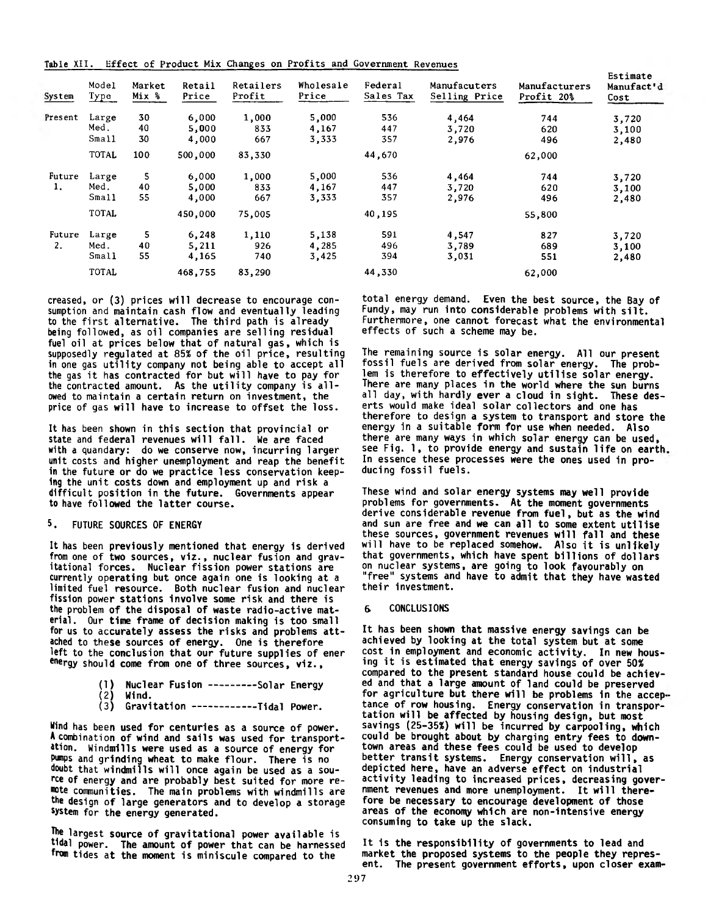**Table XII. Effect of Product Mix Changes on Profits and Government Revenues**

|         |               |                 |                 |                     |                    |                      |                               |                             | Estimate           |
|---------|---------------|-----------------|-----------------|---------------------|--------------------|----------------------|-------------------------------|-----------------------------|--------------------|
| System  | Model<br>Type | Market<br>Mix % | Retail<br>Price | Retailers<br>Profit | Wholesale<br>Price | Federal<br>Sales Tax | Manufacuters<br>Selling Price | Manufacturers<br>Profit 20% | Manufact'd<br>Cost |
| Present | Large         | 30              | 6,000           | 1,000               | 5,000              | 536                  | 4,464                         | 744                         | 3,720              |
|         | Med.          | 40              | 5,000           | 833                 | 4,167              | 447                  | 3,720                         | 620                         | 3,100              |
|         | Small         | 30              | 4,000           | 667                 | 3,333              | 357                  | 2,976                         | 496                         | 2,480              |
|         | <b>TOTAL</b>  | 100             | 500,000         | 83,330              |                    | 44,670               |                               | 62,000                      |                    |
| Future  | Large         | 5               | 6,000           | 1,000               | 5,000              | 536                  | 4,464                         | 744                         | 3,720              |
| 1.      | Med.          | 40              | 5,000           | 833                 | 4,167              | 447                  | 3,720                         | 620                         | 3,100              |
|         | Small         | 55              | 4,000           | 667                 | 3,333              | 357                  | 2,976                         | 496                         | 2,480              |
|         | TOTAL         |                 | 450,000         | 75,005              |                    | 40,195               |                               | 55,800                      |                    |
| Future  | Large         | 5               | 6,248           | 1,110               | 5,138              | 591                  | 4,547                         | 827                         | 3,720              |
| 2.      | Med.          | 40              | 5,211           | 926                 | 4,285              | 496                  | 3,789                         | 689                         | 3,100              |
|         | Small         | 55              | 4,165           | 740                 | 3,425              | 394                  | 3,031                         | 551                         | 2,480              |
|         | <b>TOTAL</b>  |                 | 468,755         | 83,290              |                    | 44,330               |                               | 62,000                      |                    |

creased, or (3) prices will decrease to encourage consumption and maintain cash flow and eventually leading to the first alternative. The third path is already being followed, as oil companies are selling residual fuel oil at prices below that of natural gas, which is supposedly regulated at 85% of the oil price, resulting in one gas utility company not being able to accept all the gas it has contracted for but will have to pay for the contracted amount. As the utility company is allowed to maintain a certain return on investment, the price of gas will have to increase to offset the loss.

It has been shown in this section that provincial or state and federal revenues will fall. We are faced with a quandary: do we conserve now, incurring larger unit costs and higher unemployment and reap the benefit in the future or do we practice less conservation keeping the unit costs down and employment up and risk a difficult position in the future. Governments appear to have followed the latter course.

## 5. FUTURE SOURCES OF ENERGY

It has been previously mentioned that energy is derived from one of two sources, viz., nuclear fusion and gravitational forces. Nuclear fission power stations are currently operating but once again one is looking at a limited fuel resource. Both nuclear fusion and nuclear fission power stations involve some risk and there is the problem of the disposal of waste radio-active material. Our time frame of decision making is too small for us to accurately assess the risks and problems attached to these sources of energy. One is therefore left to the conclusion that our future supplies of ener energy should come from one of three sources, viz.,

|              | (1) Nuclear Fusion ---------Solar Energy |  |
|--------------|------------------------------------------|--|
| $\mathbf{r}$ |                                          |  |

(2) Wind. (3) Gravitation----------- Tidal Power.

Wind has been used for centuries as a source of power. **A** combination of wind and sails was used for transportation. Windmills were used as a source of energy for pumps and grinding wheat to make flour. There is no doubt that windmills will once again be used as a source of energy and are probably best suited for more remote communities. The main problems with windmills are the design of large generators and to develop a storage system for the energy generated.

The largest source of gravitational power available is tidal power. The amount of power that can be harnessed from tides at the moment is miniscule compared to the

total energy demand. Even the best source, the Bay of Fundy, may run into considerable problems with silt. Furthermore, one cannot forecast what the environmental effects of such a scheme may be.

The remaining source is solar energy. All our present fossil fuels are derived from solar energy. The problem is therefore to effectively utilise solar energy. There are many places in the world where the sun burns all day, with hardly ever a cloud in sight. These deserts would make ideal solar collectors and one has therefore to design a system to transport and store the energy in a suitable form for use when needed. Also there are many ways in which solar energy can be used, see Fig. 1, to provide energy and sustain life on earth. In essence these processes were the ones used in producing fossil fuels.

These wind and solar energy systems may well provide problems for governments. At the moment governments derive considerable revenue from fuel, but as the wind and sun are free and we can all to some extent utilise these sources, government revenues will fall and these will have to be replaced somehow. Also it is unlikely that governments, which have spent billions of dollars on nuclear systems, are going to look favourably on "free" systems and have to admit that they have wasted their investment.

#### & CONCLUSIONS

It has been shown that massive energy savings can be achieved by looking at the total system but at some cost in employment and economic activity. In new housing it is estimated that energy savings of over 50% compared to the present standard house could be achieved and that a large amount of land could be preserved for agriculture but there will be problems in the acceptance of row housing. Energy conservation in transportation will be affected by housing design, but most savings (25-35%) will be incurred by carpooling, which could be brought about by charging entry fees to downtown areas and these fees could be used to develop better transit systems. Energy conservation will, as depicted here, have an adverse effect on industrial activity leading to increased prices, decreasing government revenues and more unemployment. It will therefore be necessary to encourage development of those areas of the economy which are non-intensive energy consuming to take up the slack.

It is the responsibility of governments to lead and market the proposed systems to the people they represent. The present government efforts, upon closer exam-